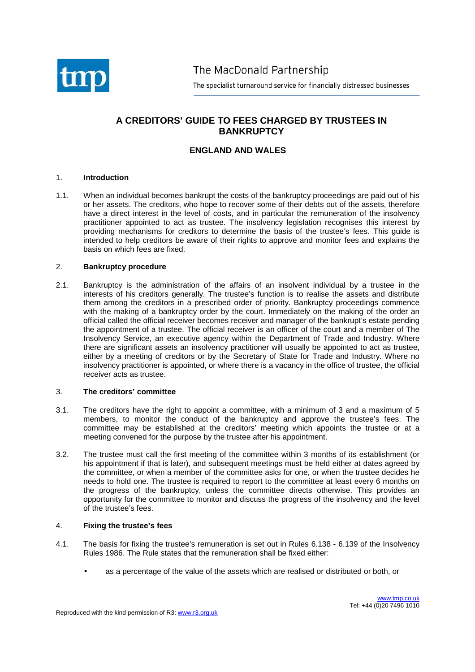

The MacDonald Partnership

The specialist turnaround service for financially distressed businesses

# **A CREDITORS' GUIDE TO FEES CHARGED BY TRUSTEES IN BANKRUPTCY**

# **ENGLAND AND WALES**

#### 1. **Introduction**

1.1. When an individual becomes bankrupt the costs of the bankruptcy proceedings are paid out of his or her assets. The creditors, who hope to recover some of their debts out of the assets, therefore have a direct interest in the level of costs, and in particular the remuneration of the insolvency practitioner appointed to act as trustee. The insolvency legislation recognises this interest by providing mechanisms for creditors to determine the basis of the trustee's fees. This guide is intended to help creditors be aware of their rights to approve and monitor fees and explains the basis on which fees are fixed.

#### 2. **Bankruptcy procedure**

2.1. Bankruptcy is the administration of the affairs of an insolvent individual by a trustee in the interests of his creditors generally. The trustee's function is to realise the assets and distribute them among the creditors in a prescribed order of priority. Bankruptcy proceedings commence with the making of a bankruptcy order by the court. Immediately on the making of the order an official called the official receiver becomes receiver and manager of the bankrupt's estate pending the appointment of a trustee. The official receiver is an officer of the court and a member of The Insolvency Service, an executive agency within the Department of Trade and Industry. Where there are significant assets an insolvency practitioner will usually be appointed to act as trustee, either by a meeting of creditors or by the Secretary of State for Trade and Industry. Where no insolvency practitioner is appointed, or where there is a vacancy in the office of trustee, the official receiver acts as trustee.

#### 3. **The creditors' committee**

- 3.1. The creditors have the right to appoint a committee, with a minimum of 3 and a maximum of 5 members, to monitor the conduct of the bankruptcy and approve the trustee's fees. The committee may be established at the creditors' meeting which appoints the trustee or at a meeting convened for the purpose by the trustee after his appointment.
- 3.2. The trustee must call the first meeting of the committee within 3 months of its establishment (or his appointment if that is later), and subsequent meetings must be held either at dates agreed by the committee, or when a member of the committee asks for one, or when the trustee decides he needs to hold one. The trustee is required to report to the committee at least every 6 months on the progress of the bankruptcy, unless the committee directs otherwise. This provides an opportunity for the committee to monitor and discuss the progress of the insolvency and the level of the trustee's fees.

#### 4. **Fixing the trustee's fees**

- 4.1. The basis for fixing the trustee's remuneration is set out in Rules 6.138 6.139 of the Insolvency Rules 1986. The Rule states that the remuneration shall be fixed either:
	- as a percentage of the value of the assets which are realised or distributed or both, or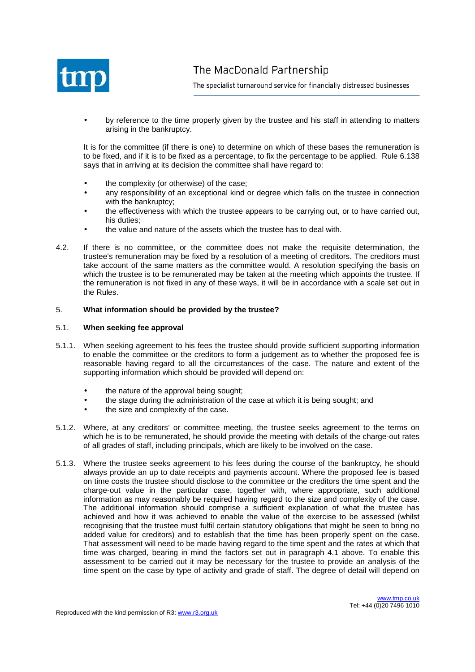

• by reference to the time properly given by the trustee and his staff in attending to matters arising in the bankruptcy.

It is for the committee (if there is one) to determine on which of these bases the remuneration is to be fixed, and if it is to be fixed as a percentage, to fix the percentage to be applied. Rule 6.138 says that in arriving at its decision the committee shall have regard to:

- the complexity (or otherwise) of the case;
- any responsibility of an exceptional kind or degree which falls on the trustee in connection with the bankruptcy;
- the effectiveness with which the trustee appears to be carrying out, or to have carried out, his duties;
- the value and nature of the assets which the trustee has to deal with.
- 4.2. If there is no committee, or the committee does not make the requisite determination, the trustee's remuneration may be fixed by a resolution of a meeting of creditors. The creditors must take account of the same matters as the committee would. A resolution specifying the basis on which the trustee is to be remunerated may be taken at the meeting which appoints the trustee. If the remuneration is not fixed in any of these ways, it will be in accordance with a scale set out in the Rules.

# 5. **What information should be provided by the trustee?**

#### 5.1. **When seeking fee approval**

- 5.1.1. When seeking agreement to his fees the trustee should provide sufficient supporting information to enable the committee or the creditors to form a judgement as to whether the proposed fee is reasonable having regard to all the circumstances of the case. The nature and extent of the supporting information which should be provided will depend on:
	- the nature of the approval being sought;
	- the stage during the administration of the case at which it is being sought; and
	- the size and complexity of the case.
- 5.1.2. Where, at any creditors' or committee meeting, the trustee seeks agreement to the terms on which he is to be remunerated, he should provide the meeting with details of the charge-out rates of all grades of staff, including principals, which are likely to be involved on the case.
- 5.1.3. Where the trustee seeks agreement to his fees during the course of the bankruptcy, he should always provide an up to date receipts and payments account. Where the proposed fee is based on time costs the trustee should disclose to the committee or the creditors the time spent and the charge-out value in the particular case, together with, where appropriate, such additional information as may reasonably be required having regard to the size and complexity of the case. The additional information should comprise a sufficient explanation of what the trustee has achieved and how it was achieved to enable the value of the exercise to be assessed (whilst recognising that the trustee must fulfil certain statutory obligations that might be seen to bring no added value for creditors) and to establish that the time has been properly spent on the case. That assessment will need to be made having regard to the time spent and the rates at which that time was charged, bearing in mind the factors set out in paragraph 4.1 above. To enable this assessment to be carried out it may be necessary for the trustee to provide an analysis of the time spent on the case by type of activity and grade of staff. The degree of detail will depend on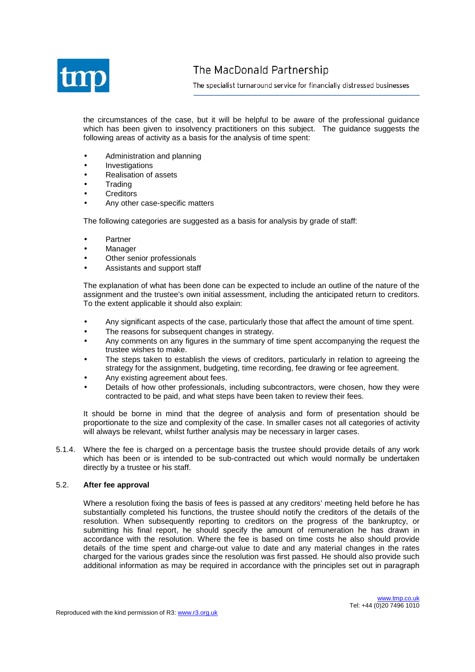

the circumstances of the case, but it will be helpful to be aware of the professional guidance which has been given to insolvency practitioners on this subject. The guidance suggests the following areas of activity as a basis for the analysis of time spent:

- Administration and planning
- **Investigations**
- Realisation of assets
- **Trading**
- **Creditors**
- Any other case-specific matters

The following categories are suggested as a basis for analysis by grade of staff:

- **Partner**
- **Manager**
- Other senior professionals
- Assistants and support staff

The explanation of what has been done can be expected to include an outline of the nature of the assignment and the trustee's own initial assessment, including the anticipated return to creditors. To the extent applicable it should also explain:

- Any significant aspects of the case, particularly those that affect the amount of time spent.
- The reasons for subsequent changes in strategy.
- Any comments on any figures in the summary of time spent accompanying the request the trustee wishes to make.
- The steps taken to establish the views of creditors, particularly in relation to agreeing the strategy for the assignment, budgeting, time recording, fee drawing or fee agreement.
- Any existing agreement about fees.
- Details of how other professionals, including subcontractors, were chosen, how they were contracted to be paid, and what steps have been taken to review their fees.

It should be borne in mind that the degree of analysis and form of presentation should be proportionate to the size and complexity of the case. In smaller cases not all categories of activity will always be relevant, whilst further analysis may be necessary in larger cases.

5.1.4. Where the fee is charged on a percentage basis the trustee should provide details of any work which has been or is intended to be sub-contracted out which would normally be undertaken directly by a trustee or his staff.

#### 5.2. **After fee approval**

Where a resolution fixing the basis of fees is passed at any creditors' meeting held before he has substantially completed his functions, the trustee should notify the creditors of the details of the resolution. When subsequently reporting to creditors on the progress of the bankruptcy, or submitting his final report, he should specify the amount of remuneration he has drawn in accordance with the resolution. Where the fee is based on time costs he also should provide details of the time spent and charge-out value to date and any material changes in the rates charged for the various grades since the resolution was first passed. He should also provide such additional information as may be required in accordance with the principles set out in paragraph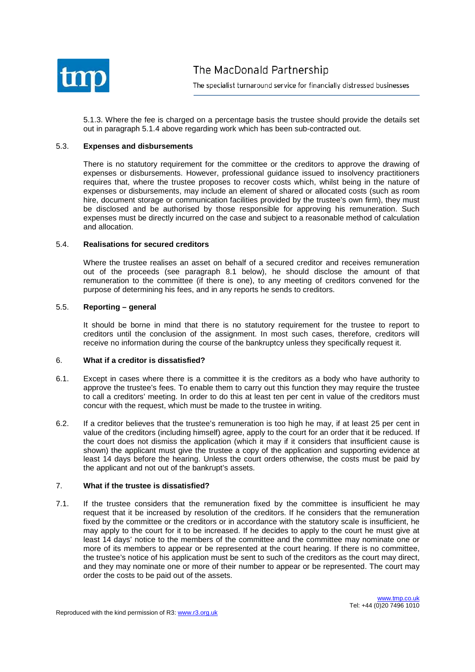

5.1.3. Where the fee is charged on a percentage basis the trustee should provide the details set out in paragraph 5.1.4 above regarding work which has been sub-contracted out.

#### 5.3. **Expenses and disbursements**

There is no statutory requirement for the committee or the creditors to approve the drawing of expenses or disbursements. However, professional guidance issued to insolvency practitioners requires that, where the trustee proposes to recover costs which, whilst being in the nature of expenses or disbursements, may include an element of shared or allocated costs (such as room hire, document storage or communication facilities provided by the trustee's own firm), they must be disclosed and be authorised by those responsible for approving his remuneration. Such expenses must be directly incurred on the case and subject to a reasonable method of calculation and allocation.

### 5.4. **Realisations for secured creditors**

Where the trustee realises an asset on behalf of a secured creditor and receives remuneration out of the proceeds (see paragraph 8.1 below), he should disclose the amount of that remuneration to the committee (if there is one), to any meeting of creditors convened for the purpose of determining his fees, and in any reports he sends to creditors.

# 5.5. **Reporting – general**

It should be borne in mind that there is no statutory requirement for the trustee to report to creditors until the conclusion of the assignment. In most such cases, therefore, creditors will receive no information during the course of the bankruptcy unless they specifically request it.

#### 6. **What if a creditor is dissatisfied?**

- 6.1. Except in cases where there is a committee it is the creditors as a body who have authority to approve the trustee's fees. To enable them to carry out this function they may require the trustee to call a creditors' meeting. In order to do this at least ten per cent in value of the creditors must concur with the request, which must be made to the trustee in writing.
- 6.2. If a creditor believes that the trustee's remuneration is too high he may, if at least 25 per cent in value of the creditors (including himself) agree, apply to the court for an order that it be reduced. If the court does not dismiss the application (which it may if it considers that insufficient cause is shown) the applicant must give the trustee a copy of the application and supporting evidence at least 14 days before the hearing. Unless the court orders otherwise, the costs must be paid by the applicant and not out of the bankrupt's assets.

#### 7. **What if the trustee is dissatisfied?**

7.1. If the trustee considers that the remuneration fixed by the committee is insufficient he may request that it be increased by resolution of the creditors. If he considers that the remuneration fixed by the committee or the creditors or in accordance with the statutory scale is insufficient, he may apply to the court for it to be increased. If he decides to apply to the court he must give at least 14 days' notice to the members of the committee and the committee may nominate one or more of its members to appear or be represented at the court hearing. If there is no committee, the trustee's notice of his application must be sent to such of the creditors as the court may direct, and they may nominate one or more of their number to appear or be represented. The court may order the costs to be paid out of the assets.